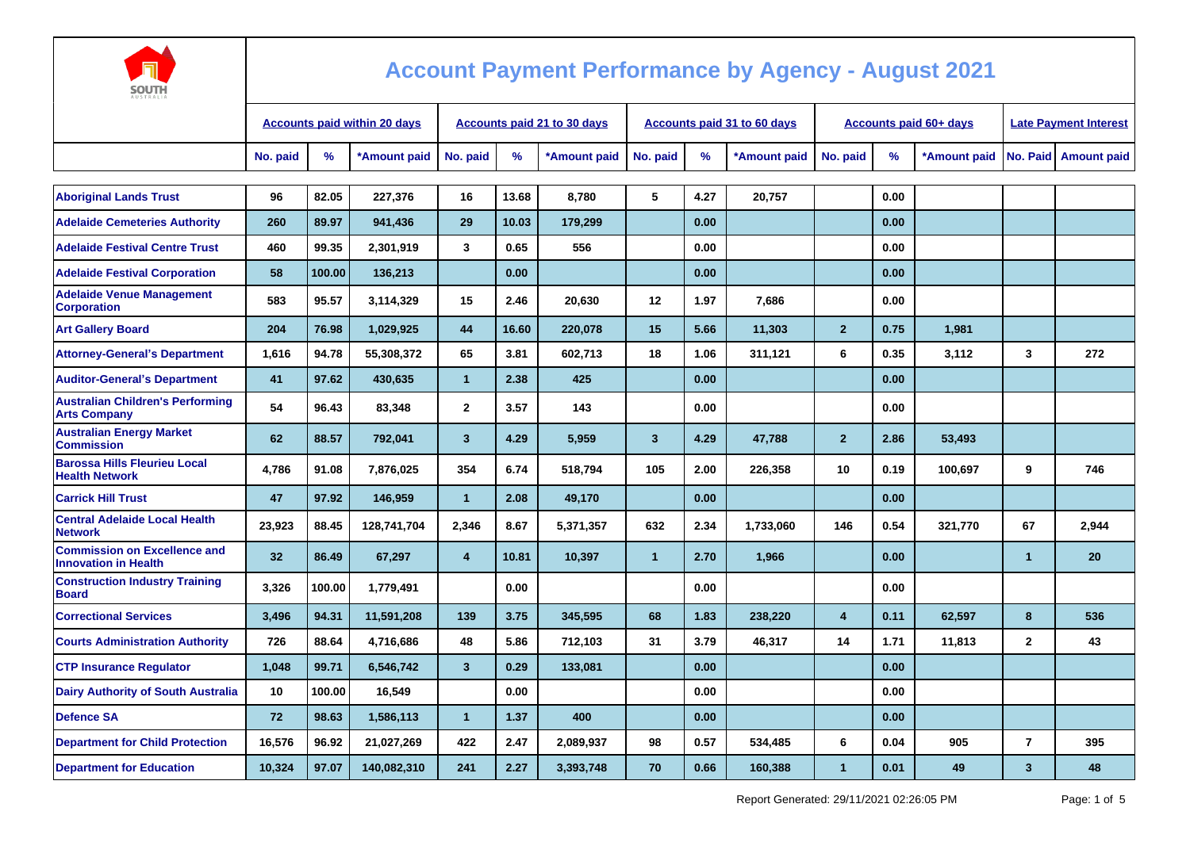

| ----<br>AUSTRALI.                                                  |          |                                     |                             |                |       |              |                         |                                    |              |                               |                              |              |                |                    |
|--------------------------------------------------------------------|----------|-------------------------------------|-----------------------------|----------------|-------|--------------|-------------------------|------------------------------------|--------------|-------------------------------|------------------------------|--------------|----------------|--------------------|
|                                                                    |          | <b>Accounts paid within 20 days</b> | Accounts paid 21 to 30 days |                |       |              |                         | <b>Accounts paid 31 to 60 days</b> |              | <b>Accounts paid 60+ days</b> | <b>Late Payment Interest</b> |              |                |                    |
|                                                                    | No. paid | $\frac{9}{6}$                       | *Amount paid                | No. paid       | $\%$  | *Amount paid | No. paid                | $\%$                               | *Amount paid | No. paid                      | %                            | *Amount paid | No. Paid       | <b>Amount paid</b> |
|                                                                    |          |                                     |                             |                |       |              |                         |                                    |              |                               |                              |              |                |                    |
| <b>Aboriginal Lands Trust</b>                                      | 96       | 82.05                               | 227,376                     | 16             | 13.68 | 8,780        | 5                       | 4.27                               | 20,757       |                               | 0.00                         |              |                |                    |
| <b>Adelaide Cemeteries Authority</b>                               | 260      | 89.97                               | 941,436                     | 29             | 10.03 | 179,299      |                         | 0.00                               |              |                               | 0.00                         |              |                |                    |
| <b>Adelaide Festival Centre Trust</b>                              | 460      | 99.35                               | 2,301,919                   | 3              | 0.65  | 556          |                         | 0.00                               |              |                               | 0.00                         |              |                |                    |
| <b>Adelaide Festival Corporation</b>                               | 58       | 100.00                              | 136,213                     |                | 0.00  |              |                         | 0.00                               |              |                               | 0.00                         |              |                |                    |
| <b>Adelaide Venue Management</b><br><b>Corporation</b>             | 583      | 95.57                               | 3,114,329                   | 15             | 2.46  | 20,630       | 12                      | 1.97                               | 7,686        |                               | 0.00                         |              |                |                    |
| <b>Art Gallery Board</b>                                           | 204      | 76.98                               | 1,029,925                   | 44             | 16.60 | 220,078      | 15                      | 5.66                               | 11,303       | $\overline{2}$                | 0.75                         | 1,981        |                |                    |
| <b>Attorney-General's Department</b>                               | 1,616    | 94.78                               | 55,308,372                  | 65             | 3.81  | 602.713      | 18                      | 1.06                               | 311.121      | 6                             | 0.35                         | 3.112        | 3              | 272                |
| <b>Auditor-General's Department</b>                                | 41       | 97.62                               | 430,635                     | $\mathbf{1}$   | 2.38  | 425          |                         | 0.00                               |              |                               | 0.00                         |              |                |                    |
| <b>Australian Children's Performing</b><br><b>Arts Company</b>     | 54       | 96.43                               | 83,348                      | $\overline{2}$ | 3.57  | 143          |                         | 0.00                               |              |                               | 0.00                         |              |                |                    |
| <b>Australian Energy Market</b><br><b>Commission</b>               | 62       | 88.57                               | 792,041                     | $\mathbf{3}$   | 4.29  | 5,959        | $\overline{\mathbf{3}}$ | 4.29                               | 47,788       | $\overline{2}$                | 2.86                         | 53,493       |                |                    |
| <b>Barossa Hills Fleurieu Local</b><br><b>Health Network</b>       | 4,786    | 91.08                               | 7,876,025                   | 354            | 6.74  | 518,794      | 105                     | 2.00                               | 226,358      | 10                            | 0.19                         | 100,697      | 9              | 746                |
| <b>Carrick Hill Trust</b>                                          | 47       | 97.92                               | 146,959                     | $\overline{1}$ | 2.08  | 49,170       |                         | 0.00                               |              |                               | 0.00                         |              |                |                    |
| <b>Central Adelaide Local Health</b><br><b>Network</b>             | 23,923   | 88.45                               | 128,741,704                 | 2,346          | 8.67  | 5,371,357    | 632                     | 2.34                               | 1,733,060    | 146                           | 0.54                         | 321,770      | 67             | 2,944              |
| <b>Commission on Excellence and</b><br><b>Innovation in Health</b> | 32       | 86.49                               | 67,297                      | $\overline{4}$ | 10.81 | 10,397       | $\overline{1}$          | 2.70                               | 1,966        |                               | 0.00                         |              | $\mathbf 1$    | 20                 |
| <b>Construction Industry Training</b><br><b>Board</b>              | 3.326    | 100.00                              | 1,779,491                   |                | 0.00  |              |                         | 0.00                               |              |                               | 0.00                         |              |                |                    |
| <b>Correctional Services</b>                                       | 3,496    | 94.31                               | 11,591,208                  | 139            | 3.75  | 345,595      | 68                      | 1.83                               | 238,220      | 4                             | 0.11                         | 62,597       | 8              | 536                |
| <b>Courts Administration Authority</b>                             | 726      | 88.64                               | 4,716,686                   | 48             | 5.86  | 712,103      | 31                      | 3.79                               | 46,317       | 14                            | 1.71                         | 11,813       | $\overline{2}$ | 43                 |
| <b>CTP Insurance Requlator</b>                                     | 1,048    | 99.71                               | 6,546,742                   | $\mathbf{3}$   | 0.29  | 133,081      |                         | 0.00                               |              |                               | 0.00                         |              |                |                    |
| <b>Dairy Authority of South Australia</b>                          | 10       | 100.00                              | 16,549                      |                | 0.00  |              |                         | 0.00                               |              |                               | 0.00                         |              |                |                    |
| <b>Defence SA</b>                                                  | 72       | 98.63                               | 1,586,113                   | $\mathbf{1}$   | 1.37  | 400          |                         | 0.00                               |              |                               | 0.00                         |              |                |                    |
| <b>Department for Child Protection</b>                             | 16,576   | 96.92                               | 21,027,269                  | 422            | 2.47  | 2,089,937    | 98                      | 0.57                               | 534,485      | 6                             | 0.04                         | 905          | $\overline{7}$ | 395                |
| <b>Department for Education</b>                                    | 10,324   | 97.07                               | 140,082,310                 | 241            | 2.27  | 3,393,748    | 70                      | 0.66                               | 160,388      | 1                             | 0.01                         | 49           | $\mathbf{3}$   | 48                 |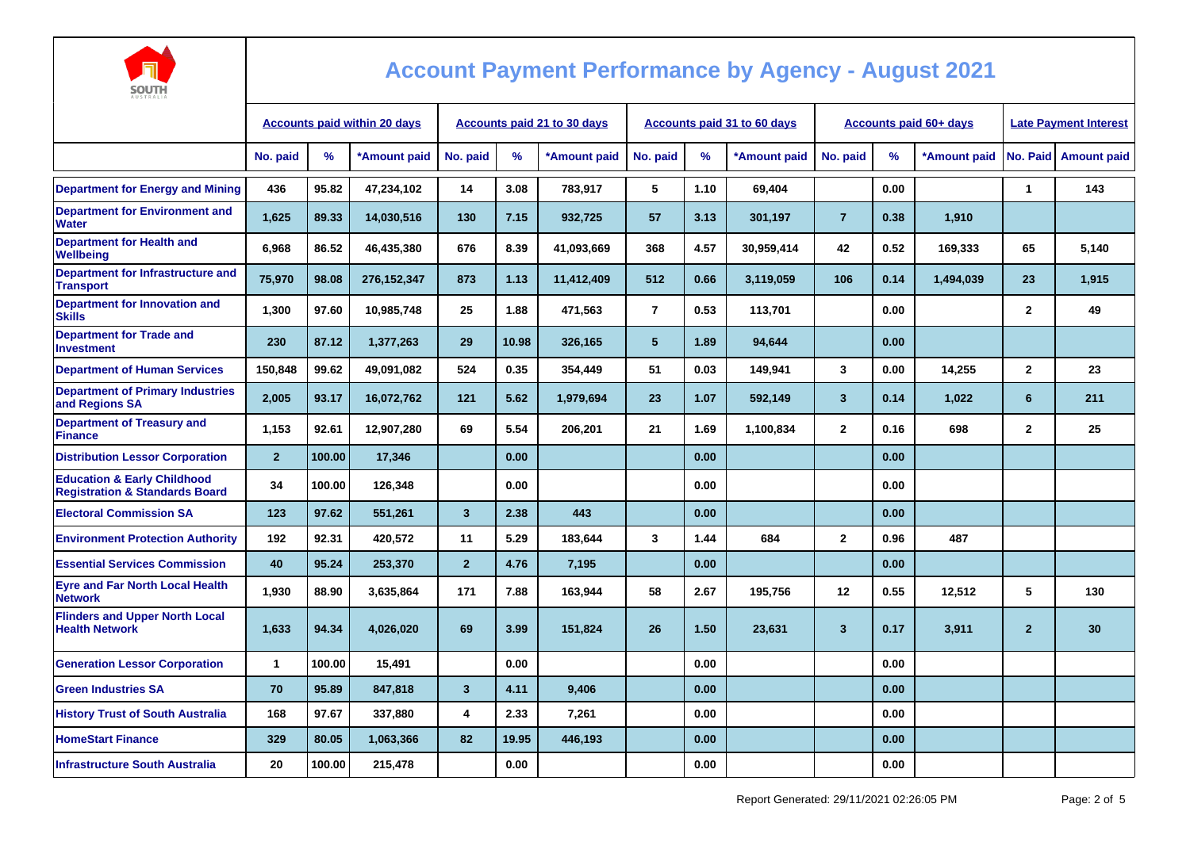

| AUSTRALIA                                                                           |                                     |        |              |                                    |       |              |                |      |                             |                         |      |                               |                              |                        |
|-------------------------------------------------------------------------------------|-------------------------------------|--------|--------------|------------------------------------|-------|--------------|----------------|------|-----------------------------|-------------------------|------|-------------------------------|------------------------------|------------------------|
|                                                                                     | <b>Accounts paid within 20 days</b> |        |              | <b>Accounts paid 21 to 30 days</b> |       |              |                |      | Accounts paid 31 to 60 days |                         |      | <b>Accounts paid 60+ days</b> | <b>Late Payment Interest</b> |                        |
|                                                                                     | No. paid                            | %      | *Amount paid | No. paid                           | %     | *Amount paid | No. paid       | %    | *Amount paid                | No. paid                | $\%$ | *Amount paid                  |                              | No. Paid   Amount paid |
| <b>Department for Energy and Mining</b>                                             | 436                                 | 95.82  | 47.234.102   | 14                                 | 3.08  | 783,917      | 5              | 1.10 | 69,404                      |                         | 0.00 |                               | $\overline{\mathbf{1}}$      | 143                    |
| <b>Department for Environment and</b><br>Water                                      | 1,625                               | 89.33  | 14,030,516   | 130                                | 7.15  | 932,725      | 57             | 3.13 | 301,197                     | $\overline{7}$          | 0.38 | 1,910                         |                              |                        |
| <b>Department for Health and</b><br>Wellbeing                                       | 6,968                               | 86.52  | 46,435,380   | 676                                | 8.39  | 41,093,669   | 368            | 4.57 | 30,959,414                  | 42                      | 0.52 | 169,333                       | 65                           | 5.140                  |
| Department for Infrastructure and<br><b>Transport</b>                               | 75,970                              | 98.08  | 276,152,347  | 873                                | 1.13  | 11,412,409   | 512            | 0.66 | 3,119,059                   | 106                     | 0.14 | 1,494,039                     | 23                           | 1,915                  |
| Department for Innovation and<br><b>Skills</b>                                      | 1,300                               | 97.60  | 10.985.748   | 25                                 | 1.88  | 471,563      | $\overline{7}$ | 0.53 | 113,701                     |                         | 0.00 |                               | $\mathbf{2}$                 | 49                     |
| <b>Department for Trade and</b><br><b>Investment</b>                                | 230                                 | 87.12  | 1,377,263    | 29                                 | 10.98 | 326,165      | 5              | 1.89 | 94,644                      |                         | 0.00 |                               |                              |                        |
| <b>Department of Human Services</b>                                                 | 150,848                             | 99.62  | 49,091,082   | 524                                | 0.35  | 354,449      | 51             | 0.03 | 149,941                     | $\mathbf{3}$            | 0.00 | 14,255                        | $\mathbf{2}$                 | 23                     |
| <b>Department of Primary Industries</b><br>and Regions SA                           | 2,005                               | 93.17  | 16,072,762   | $121$                              | 5.62  | 1,979,694    | 23             | 1.07 | 592,149                     | $\overline{\mathbf{3}}$ | 0.14 | 1,022                         | 6                            | 211                    |
| <b>Department of Treasury and</b><br><b>Finance</b>                                 | 1,153                               | 92.61  | 12,907,280   | 69                                 | 5.54  | 206,201      | 21             | 1.69 | 1,100,834                   | $\mathbf{2}$            | 0.16 | 698                           | $\overline{2}$               | 25                     |
| <b>Distribution Lessor Corporation</b>                                              | $\overline{2}$                      | 100.00 | 17,346       |                                    | 0.00  |              |                | 0.00 |                             |                         | 0.00 |                               |                              |                        |
| <b>Education &amp; Early Childhood</b><br><b>Registration &amp; Standards Board</b> | 34                                  | 100.00 | 126,348      |                                    | 0.00  |              |                | 0.00 |                             |                         | 0.00 |                               |                              |                        |
| <b>Electoral Commission SA</b>                                                      | 123                                 | 97.62  | 551,261      | $\overline{3}$                     | 2.38  | 443          |                | 0.00 |                             |                         | 0.00 |                               |                              |                        |
| <b>Environment Protection Authority</b>                                             | 192                                 | 92.31  | 420,572      | 11                                 | 5.29  | 183,644      | 3              | 1.44 | 684                         | $\mathbf{2}$            | 0.96 | 487                           |                              |                        |
| <b>Essential Services Commission</b>                                                | 40                                  | 95.24  | 253,370      | $\overline{2}$                     | 4.76  | 7,195        |                | 0.00 |                             |                         | 0.00 |                               |                              |                        |
| <b>Eyre and Far North Local Health</b><br><b>Network</b>                            | 1,930                               | 88.90  | 3,635,864    | 171                                | 7.88  | 163,944      | 58             | 2.67 | 195,756                     | 12                      | 0.55 | 12,512                        | 5                            | 130                    |
| <b>Flinders and Upper North Local</b><br><b>Health Network</b>                      | 1,633                               | 94.34  | 4,026,020    | 69                                 | 3.99  | 151,824      | 26             | 1.50 | 23,631                      | $\mathbf{3}$            | 0.17 | 3,911                         | $\overline{2}$               | 30                     |
| <b>Generation Lessor Corporation</b>                                                | $\mathbf{1}$                        | 100.00 | 15,491       |                                    | 0.00  |              |                | 0.00 |                             |                         | 0.00 |                               |                              |                        |
| <b>Green Industries SA</b>                                                          | 70                                  | 95.89  | 847,818      | $\mathbf{3}$                       | 4.11  | 9,406        |                | 0.00 |                             |                         | 0.00 |                               |                              |                        |
| <b>History Trust of South Australia</b>                                             | 168                                 | 97.67  | 337,880      | 4                                  | 2.33  | 7,261        |                | 0.00 |                             |                         | 0.00 |                               |                              |                        |
| <b>HomeStart Finance</b>                                                            | 329                                 | 80.05  | 1,063,366    | 82                                 | 19.95 | 446,193      |                | 0.00 |                             |                         | 0.00 |                               |                              |                        |
| <b>Infrastructure South Australia</b>                                               | 20                                  | 100.00 | 215,478      |                                    | 0.00  |              |                | 0.00 |                             |                         | 0.00 |                               |                              |                        |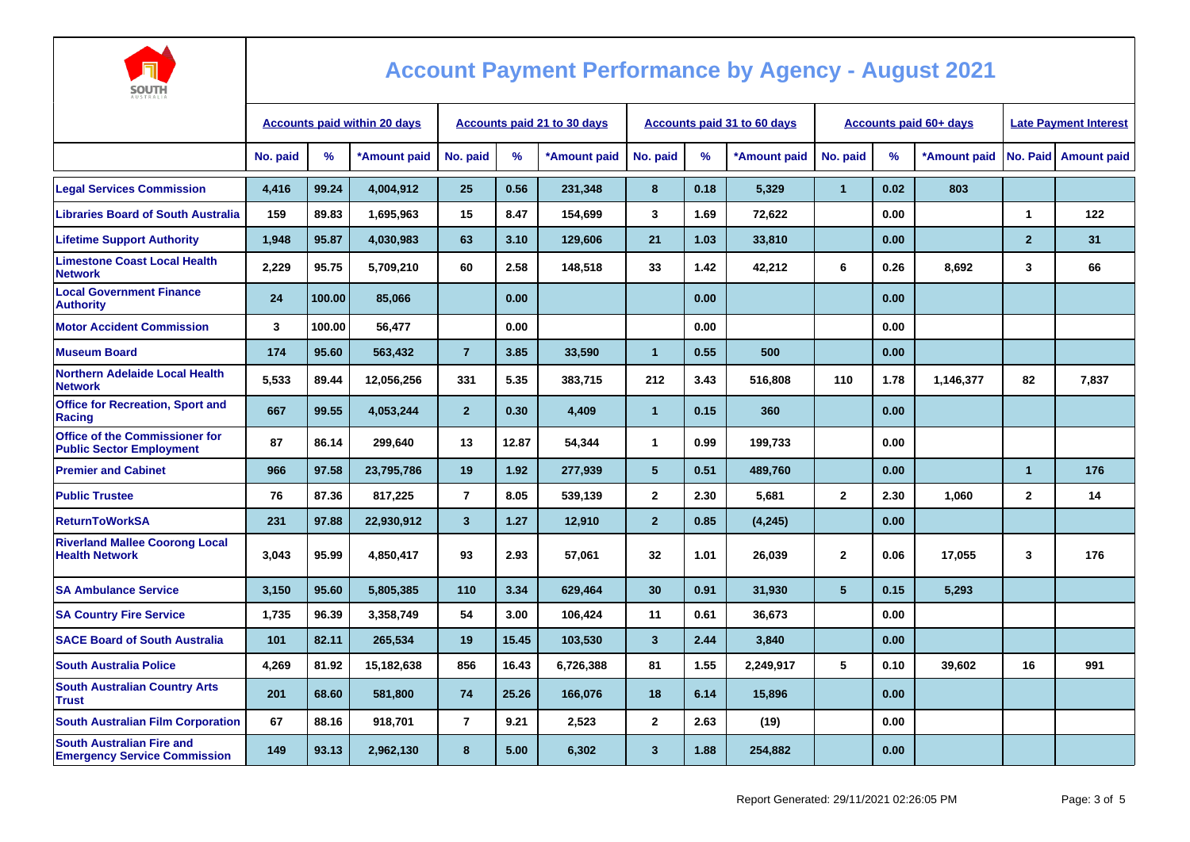

| AUSTRALIA                                                               |                                     |               |              |                                    |               |              |                         |      |                                    |                |                               |                              |                      |                        |
|-------------------------------------------------------------------------|-------------------------------------|---------------|--------------|------------------------------------|---------------|--------------|-------------------------|------|------------------------------------|----------------|-------------------------------|------------------------------|----------------------|------------------------|
|                                                                         | <b>Accounts paid within 20 days</b> |               |              | <b>Accounts paid 21 to 30 days</b> |               |              |                         |      | <b>Accounts paid 31 to 60 days</b> |                | <b>Accounts paid 60+ days</b> | <b>Late Payment Interest</b> |                      |                        |
|                                                                         | No. paid                            | $\frac{9}{6}$ | *Amount paid | No. paid                           | $\frac{9}{6}$ | *Amount paid | No. paid                | $\%$ | *Amount paid                       | No. paid       | %                             | *Amount paid                 |                      | No. Paid   Amount paid |
| <b>Legal Services Commission</b>                                        | 4,416                               | 99.24         | 4,004,912    | 25                                 | 0.56          | 231,348      | 8                       | 0.18 | 5,329                              | $\mathbf{1}$   | 0.02                          | 803                          |                      |                        |
| <b>Libraries Board of South Australia</b>                               | 159                                 | 89.83         | 1,695,963    | 15                                 | 8.47          | 154,699      | 3                       | 1.69 | 72,622                             |                | 0.00                          |                              | $\blacktriangleleft$ | 122                    |
| <b>Lifetime Support Authority</b>                                       | 1,948                               | 95.87         | 4,030,983    | 63                                 | 3.10          | 129,606      | 21                      | 1.03 | 33,810                             |                | 0.00                          |                              | $\overline{2}$       | 31                     |
| <b>Limestone Coast Local Health</b><br><b>Network</b>                   | 2,229                               | 95.75         | 5,709,210    | 60                                 | 2.58          | 148,518      | 33                      | 1.42 | 42,212                             | 6              | 0.26                          | 8,692                        | 3                    | 66                     |
| <b>Local Government Finance</b><br><b>Authority</b>                     | 24                                  | 100.00        | 85,066       |                                    | 0.00          |              |                         | 0.00 |                                    |                | 0.00                          |                              |                      |                        |
| <b>Motor Accident Commission</b>                                        | 3                                   | 100.00        | 56,477       |                                    | 0.00          |              |                         | 0.00 |                                    |                | 0.00                          |                              |                      |                        |
| <b>Museum Board</b>                                                     | 174                                 | 95.60         | 563,432      | $\overline{7}$                     | 3.85          | 33,590       | $\mathbf{1}$            | 0.55 | 500                                |                | 0.00                          |                              |                      |                        |
| <b>Northern Adelaide Local Health</b><br><b>Network</b>                 | 5,533                               | 89.44         | 12,056,256   | 331                                | 5.35          | 383,715      | 212                     | 3.43 | 516,808                            | 110            | 1.78                          | 1,146,377                    | 82                   | 7,837                  |
| <b>Office for Recreation, Sport and</b><br>Racing                       | 667                                 | 99.55         | 4,053,244    | 2 <sup>2</sup>                     | 0.30          | 4,409        | $\mathbf{1}$            | 0.15 | 360                                |                | 0.00                          |                              |                      |                        |
| Office of the Commissioner for<br><b>Public Sector Employment</b>       | 87                                  | 86.14         | 299.640      | 13                                 | 12.87         | 54,344       | $\mathbf{1}$            | 0.99 | 199.733                            |                | 0.00                          |                              |                      |                        |
| <b>Premier and Cabinet</b>                                              | 966                                 | 97.58         | 23,795,786   | 19                                 | 1.92          | 277,939      | $5\phantom{.0}$         | 0.51 | 489,760                            |                | 0.00                          |                              | $\overline{1}$       | 176                    |
| <b>Public Trustee</b>                                                   | 76                                  | 87.36         | 817,225      | $\overline{7}$                     | 8.05          | 539,139      | $\mathbf{2}$            | 2.30 | 5,681                              | $\mathbf{2}$   | 2.30                          | 1,060                        | $\mathbf{2}$         | 14                     |
| <b>ReturnToWorkSA</b>                                                   | 231                                 | 97.88         | 22,930,912   | $\mathbf{3}$                       | 1.27          | 12,910       | $\overline{2}$          | 0.85 | (4, 245)                           |                | 0.00                          |                              |                      |                        |
| <b>Riverland Mallee Coorong Local</b><br><b>Health Network</b>          | 3,043                               | 95.99         | 4,850,417    | 93                                 | 2.93          | 57,061       | 32                      | 1.01 | 26,039                             | $\mathbf{2}$   | 0.06                          | 17,055                       | 3                    | 176                    |
| <b>SA Ambulance Service</b>                                             | 3,150                               | 95.60         | 5,805,385    | 110                                | 3.34          | 629.464      | 30                      | 0.91 | 31,930                             | 5 <sup>5</sup> | 0.15                          | 5,293                        |                      |                        |
| <b>SA Country Fire Service</b>                                          | 1,735                               | 96.39         | 3,358,749    | 54                                 | 3.00          | 106,424      | 11                      | 0.61 | 36,673                             |                | 0.00                          |                              |                      |                        |
| <b>SACE Board of South Australia</b>                                    | 101                                 | 82.11         | 265,534      | 19                                 | 15.45         | 103,530      | $\mathbf{3}$            | 2.44 | 3,840                              |                | 0.00                          |                              |                      |                        |
| <b>South Australia Police</b>                                           | 4,269                               | 81.92         | 15,182,638   | 856                                | 16.43         | 6,726,388    | 81                      | 1.55 | 2,249,917                          | 5              | 0.10                          | 39,602                       | 16                   | 991                    |
| <b>South Australian Country Arts</b><br><b>Trust</b>                    | 201                                 | 68.60         | 581,800      | 74                                 | 25.26         | 166,076      | 18                      | 6.14 | 15,896                             |                | 0.00                          |                              |                      |                        |
| <b>South Australian Film Corporation</b>                                | 67                                  | 88.16         | 918,701      | $\overline{7}$                     | 9.21          | 2,523        | $\overline{2}$          | 2.63 | (19)                               |                | 0.00                          |                              |                      |                        |
| <b>South Australian Fire and</b><br><b>Emergency Service Commission</b> | 149                                 | 93.13         | 2,962,130    | 8                                  | 5.00          | 6,302        | $\overline{\mathbf{3}}$ | 1.88 | 254,882                            |                | 0.00                          |                              |                      |                        |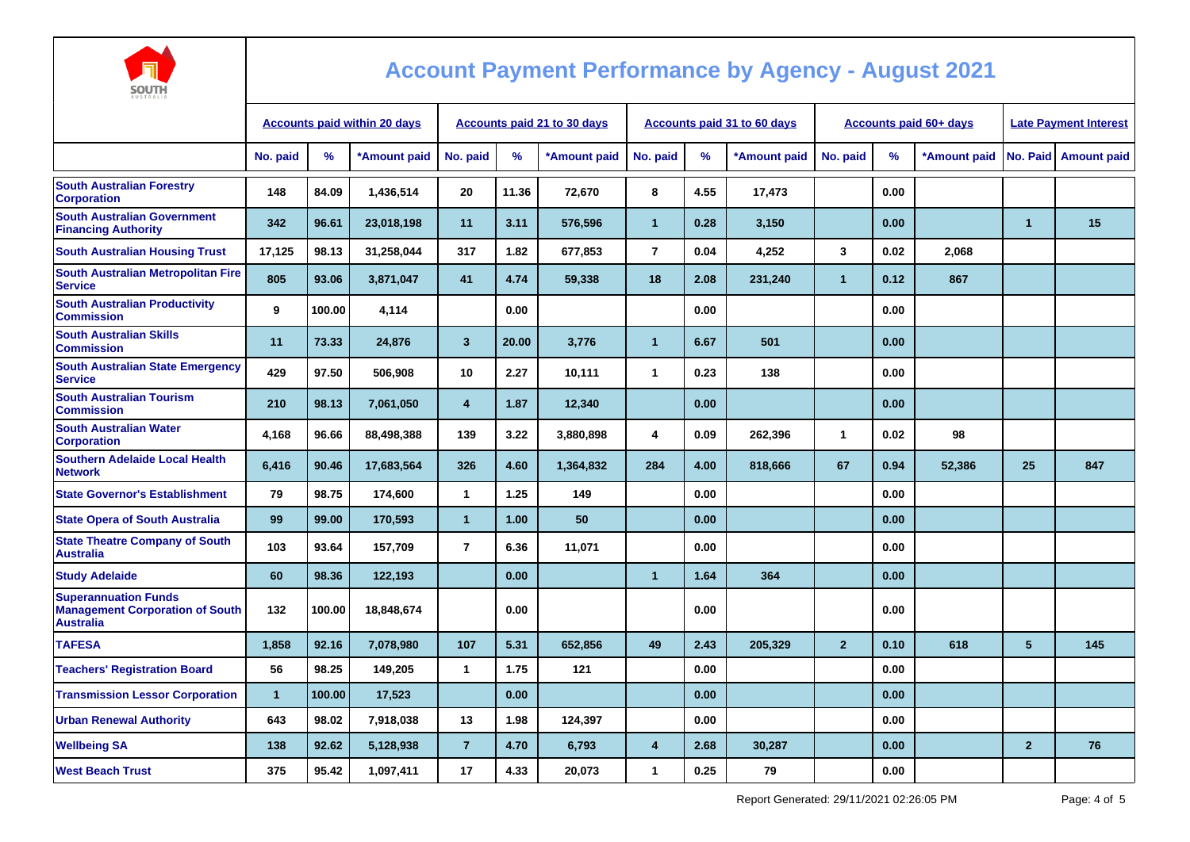

| AUSTRALIA                                                                                 |                                     |        |              |                             |       |              |                      |      |                             |                |                               |                              |                      |                    |
|-------------------------------------------------------------------------------------------|-------------------------------------|--------|--------------|-----------------------------|-------|--------------|----------------------|------|-----------------------------|----------------|-------------------------------|------------------------------|----------------------|--------------------|
|                                                                                           | <b>Accounts paid within 20 days</b> |        |              | Accounts paid 21 to 30 days |       |              |                      |      | Accounts paid 31 to 60 days |                | <b>Accounts paid 60+ days</b> | <b>Late Payment Interest</b> |                      |                    |
|                                                                                           | No. paid                            | %      | *Amount paid | No. paid                    | $\%$  | *Amount paid | No. paid             | %    | *Amount paid                | No. paid       | %                             | *Amount paid                 | No. Paid             | <b>Amount paid</b> |
| <b>South Australian Forestry</b><br><b>Corporation</b>                                    | 148                                 | 84.09  | 1,436,514    | 20                          | 11.36 | 72,670       | 8                    | 4.55 | 17,473                      |                | 0.00                          |                              |                      |                    |
| <b>South Australian Government</b><br><b>Financing Authority</b>                          | 342                                 | 96.61  | 23,018,198   | 11                          | 3.11  | 576,596      | $\mathbf{1}$         | 0.28 | 3,150                       |                | 0.00                          |                              | $\blacktriangleleft$ | 15                 |
| <b>South Australian Housing Trust</b>                                                     | 17,125                              | 98.13  | 31,258,044   | 317                         | 1.82  | 677,853      | $\overline{7}$       | 0.04 | 4,252                       | 3              | 0.02                          | 2.068                        |                      |                    |
| <b>South Australian Metropolitan Fire</b><br><b>Service</b>                               | 805                                 | 93.06  | 3,871,047    | 41                          | 4.74  | 59,338       | 18                   | 2.08 | 231,240                     | $\mathbf{1}$   | 0.12                          | 867                          |                      |                    |
| <b>South Australian Productivity</b><br><b>Commission</b>                                 | 9                                   | 100.00 | 4,114        |                             | 0.00  |              |                      | 0.00 |                             |                | 0.00                          |                              |                      |                    |
| <b>South Australian Skills</b><br><b>Commission</b>                                       | 11                                  | 73.33  | 24,876       | $\overline{\mathbf{3}}$     | 20.00 | 3,776        | $\blacktriangleleft$ | 6.67 | 501                         |                | 0.00                          |                              |                      |                    |
| <b>South Australian State Emergency</b><br><b>Service</b>                                 | 429                                 | 97.50  | 506,908      | 10                          | 2.27  | 10,111       | $\mathbf{1}$         | 0.23 | 138                         |                | 0.00                          |                              |                      |                    |
| <b>South Australian Tourism</b><br><b>Commission</b>                                      | 210                                 | 98.13  | 7,061,050    | $\overline{4}$              | 1.87  | 12,340       |                      | 0.00 |                             |                | 0.00                          |                              |                      |                    |
| <b>South Australian Water</b><br><b>Corporation</b>                                       | 4,168                               | 96.66  | 88,498,388   | 139                         | 3.22  | 3,880,898    | 4                    | 0.09 | 262,396                     | $\mathbf{1}$   | 0.02                          | 98                           |                      |                    |
| <b>Southern Adelaide Local Health</b><br><b>Network</b>                                   | 6,416                               | 90.46  | 17,683,564   | 326                         | 4.60  | 1,364,832    | 284                  | 4.00 | 818,666                     | 67             | 0.94                          | 52,386                       | 25                   | 847                |
| <b>State Governor's Establishment</b>                                                     | 79                                  | 98.75  | 174,600      | $\mathbf{1}$                | 1.25  | 149          |                      | 0.00 |                             |                | 0.00                          |                              |                      |                    |
| <b>State Opera of South Australia</b>                                                     | 99                                  | 99.00  | 170,593      | $\overline{1}$              | 1.00  | 50           |                      | 0.00 |                             |                | 0.00                          |                              |                      |                    |
| <b>State Theatre Company of South</b><br><b>Australia</b>                                 | 103                                 | 93.64  | 157,709      | $\overline{7}$              | 6.36  | 11,071       |                      | 0.00 |                             |                | 0.00                          |                              |                      |                    |
| <b>Study Adelaide</b>                                                                     | 60                                  | 98.36  | 122,193      |                             | 0.00  |              | $\overline{1}$       | 1.64 | 364                         |                | 0.00                          |                              |                      |                    |
| <b>Superannuation Funds</b><br><b>Management Corporation of South</b><br><b>Australia</b> | 132                                 | 100.00 | 18,848,674   |                             | 0.00  |              |                      | 0.00 |                             |                | 0.00                          |                              |                      |                    |
| <b>TAFESA</b>                                                                             | 1,858                               | 92.16  | 7,078,980    | 107                         | 5.31  | 652,856      | 49                   | 2.43 | 205,329                     | $\overline{2}$ | 0.10                          | 618                          | 5                    | 145                |
| <b>Teachers' Registration Board</b>                                                       | 56                                  | 98.25  | 149,205      | $\mathbf{1}$                | 1.75  | 121          |                      | 0.00 |                             |                | 0.00                          |                              |                      |                    |
| <b>Transmission Lessor Corporation</b>                                                    | $\blacktriangleleft$                | 100.00 | 17,523       |                             | 0.00  |              |                      | 0.00 |                             |                | 0.00                          |                              |                      |                    |
| <b>Urban Renewal Authority</b>                                                            | 643                                 | 98.02  | 7,918,038    | 13                          | 1.98  | 124,397      |                      | 0.00 |                             |                | 0.00                          |                              |                      |                    |
| <b>Wellbeing SA</b>                                                                       | 138                                 | 92.62  | 5,128,938    | $\overline{7}$              | 4.70  | 6,793        | $\overline{4}$       | 2.68 | 30,287                      |                | 0.00                          |                              | $\overline{2}$       | 76                 |
| <b>West Beach Trust</b>                                                                   | 375                                 | 95.42  | 1,097,411    | 17                          | 4.33  | 20,073       | $\mathbf{1}$         | 0.25 | 79                          |                | 0.00                          |                              |                      |                    |